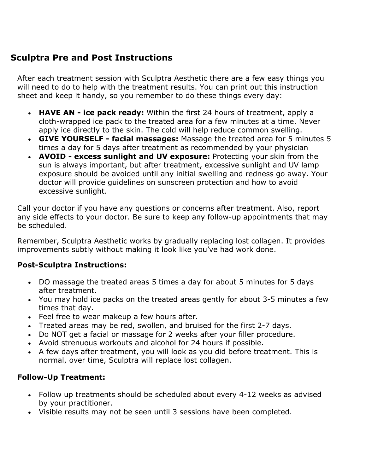## **Sculptra Pre and Post Instructions**

After each treatment session with Sculptra Aesthetic there are a few easy things you will need to do to help with the treatment results. You can print out this instruction sheet and keep it handy, so you remember to do these things every day:

- **HAVE AN - ice pack ready:** Within the first 24 hours of treatment, apply a cloth-wrapped ice pack to the treated area for a few minutes at a time. Never apply ice directly to the skin. The cold will help reduce common swelling.
- **GIVE YOURSELF - facial massages:** Massage the treated area for 5 minutes 5 times a day for 5 days after treatment as recommended by your physician
- **AVOID - excess sunlight and UV exposure:** Protecting your skin from the sun is always important, but after treatment, excessive sunlight and UV lamp exposure should be avoided until any initial swelling and redness go away. Your doctor will provide guidelines on sunscreen protection and how to avoid excessive sunlight.

Call your doctor if you have any questions or concerns after treatment. Also, report any side effects to your doctor. Be sure to keep any follow-up appointments that may be scheduled.

Remember, Sculptra Aesthetic works by gradually replacing lost collagen. It provides improvements subtly without making it look like you've had work done.

## **Post-Sculptra Instructions:**

- DO massage the treated areas 5 times a day for about 5 minutes for 5 days after treatment.
- You may hold ice packs on the treated areas gently for about 3-5 minutes a few times that day.
- Feel free to wear makeup a few hours after.
- Treated areas may be red, swollen, and bruised for the first 2-7 days.
- Do NOT get a facial or massage for 2 weeks after your filler procedure.
- Avoid strenuous workouts and alcohol for 24 hours if possible.
- A few days after treatment, you will look as you did before treatment. This is normal, over time, Sculptra will replace lost collagen.

## **Follow-Up Treatment:**

- Follow up treatments should be scheduled about every 4-12 weeks as advised by your practitioner.
- Visible results may not be seen until 3 sessions have been completed.